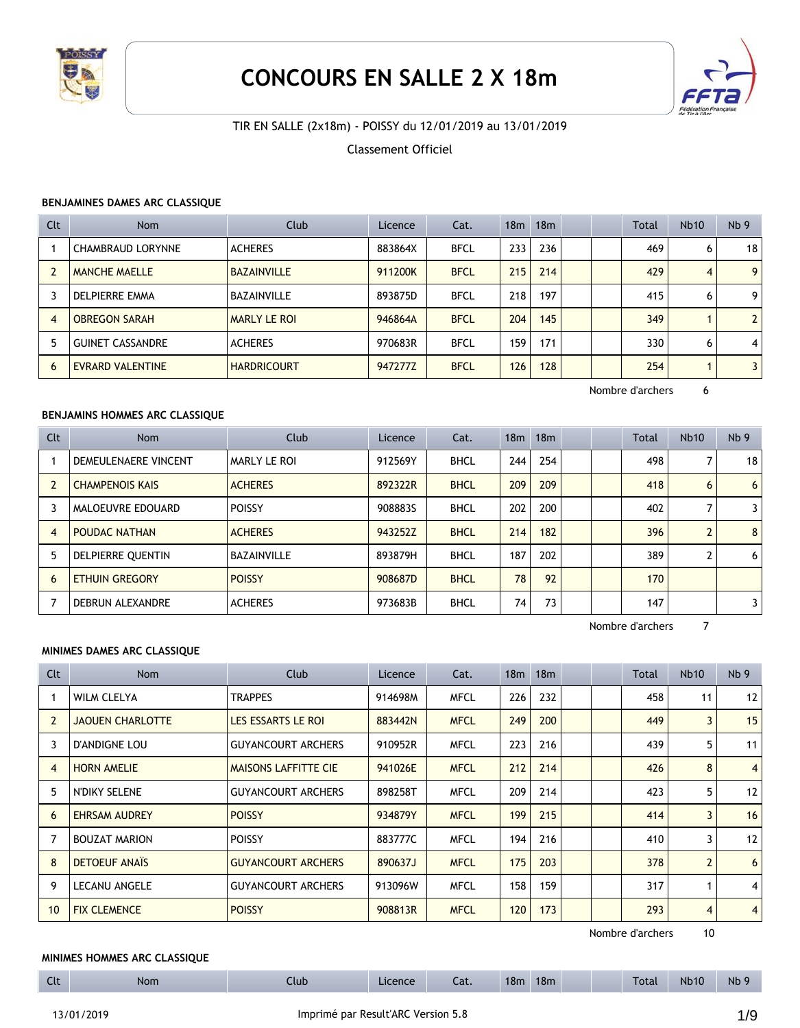

# **CONCOURS EN SALLE 2 X 18m**



## TIR EN SALLE (2x18m) - POISSY du 12/01/2019 au 13/01/2019

#### Classement Officiel

#### **BENJAMINES DAMES ARC CLASSIQUE**

| Clt            | <b>Nom</b>               | Club               | Licence | Cat.        | 18m | 18m |  | <b>Total</b> | <b>Nb10</b> | Nb <sub>9</sub> |
|----------------|--------------------------|--------------------|---------|-------------|-----|-----|--|--------------|-------------|-----------------|
|                | <b>CHAMBRAUD LORYNNE</b> | <b>ACHERES</b>     | 883864X | <b>BFCL</b> | 233 | 236 |  | 469          | ь           | 18              |
| $\overline{2}$ | <b>MANCHE MAELLE</b>     | <b>BAZAINVILLE</b> | 911200K | <b>BFCL</b> | 215 | 214 |  | 429          | 4           | 9               |
| 3              | DELPIERRE EMMA           | BAZAINVILLE        | 893875D | <b>BFCL</b> | 218 | 197 |  | 415          | 6           | 9               |
| $\overline{4}$ | <b>OBREGON SARAH</b>     | MARLY LE ROI       | 946864A | <b>BFCL</b> | 204 | 145 |  | 349          |             | $\overline{2}$  |
| 5              | <b>GUINET CASSANDRE</b>  | <b>ACHERES</b>     | 970683R | <b>BFCL</b> | 159 | 171 |  | 330          | h           | $\overline{4}$  |
| 6              | <b>EVRARD VALENTINE</b>  | <b>HARDRICOURT</b> | 947277Z | <b>BFCL</b> | 126 | 128 |  | 254          |             | 3               |

Nombre d'archers 6

#### **BENJAMINS HOMMES ARC CLASSIQUE**

| Clt            | <b>Nom</b>             | Club               | Licence | Cat.        | 18 <sub>m</sub> | 18m |  | <b>Total</b> | <b>Nb10</b>       | Nb <sub>9</sub> |
|----------------|------------------------|--------------------|---------|-------------|-----------------|-----|--|--------------|-------------------|-----------------|
|                | DEMEULENAERE VINCENT   | MARLY LE ROI       | 912569Y | <b>BHCL</b> | 244             | 254 |  | 498          |                   | 18              |
| $\overline{2}$ | <b>CHAMPENOIS KAIS</b> | <b>ACHERES</b>     | 892322R | <b>BHCL</b> | 209             | 209 |  | 418          | 6                 | 6               |
| 3              | MALOEUVRE EDOUARD      | <b>POISSY</b>      | 908883S | <b>BHCL</b> | 202             | 200 |  | 402          |                   | 3               |
| $\overline{4}$ | POUDAC NATHAN          | <b>ACHERES</b>     | 943252Z | <b>BHCL</b> | 214             | 182 |  | 396          | $\mathbf{\Omega}$ | 8               |
| 5              | DELPIERRE QUENTIN      | <b>BAZAINVILLE</b> | 893879H | <b>BHCL</b> | 187             | 202 |  | 389          |                   | 6               |
| 6              | <b>ETHUIN GREGORY</b>  | <b>POISSY</b>      | 908687D | <b>BHCL</b> | 78              | 92  |  | 170          |                   |                 |
|                | DEBRUN ALEXANDRE       | <b>ACHERES</b>     | 973683B | <b>BHCL</b> | 74              | 73  |  | 147          |                   | 3               |

Nombre d'archers 7

#### **MINIMES DAMES ARC CLASSIQUE**

| Clt            | Nom                     | Club                        | Licence | Cat.        | 18 <sub>m</sub> | 18m |  | Total | <b>Nb10</b>    | Nb <sub>9</sub> |
|----------------|-------------------------|-----------------------------|---------|-------------|-----------------|-----|--|-------|----------------|-----------------|
|                | <b>WILM CLELYA</b>      | <b>TRAPPES</b>              | 914698M | <b>MFCL</b> | 226             | 232 |  | 458   | 11             | 12              |
| $\overline{2}$ | <b>JAOUEN CHARLOTTE</b> | LES ESSARTS LE ROI          | 883442N | <b>MFCL</b> | 249             | 200 |  | 449   | $\overline{3}$ | 15              |
| 3              | D'ANDIGNE LOU           | <b>GUYANCOURT ARCHERS</b>   | 910952R | <b>MFCL</b> | 223             | 216 |  | 439   | 5              | 11              |
| $\overline{4}$ | <b>HORN AMELIE</b>      | <b>MAISONS LAFFITTE CIE</b> | 941026E | <b>MFCL</b> | 212             | 214 |  | 426   | 8              | $\overline{4}$  |
| 5              | N'DIKY SELENE           | <b>GUYANCOURT ARCHERS</b>   | 898258T | <b>MFCL</b> | 209             | 214 |  | 423   | 5              | 12              |
| 6              | <b>EHRSAM AUDREY</b>    | <b>POISSY</b>               | 934879Y | <b>MFCL</b> | 199             | 215 |  | 414   | 3              | 16              |
|                | <b>BOUZAT MARION</b>    | <b>POISSY</b>               | 883777C | <b>MFCL</b> | 194             | 216 |  | 410   | 3              | 12              |
| 8              | <b>DETOEUF ANAIS</b>    | <b>GUYANCOURT ARCHERS</b>   | 890637J | <b>MFCL</b> | 175             | 203 |  | 378   | $\overline{2}$ | 6               |
| 9              | <b>LECANU ANGELE</b>    | <b>GUYANCOURT ARCHERS</b>   | 913096W | <b>MFCL</b> | 158             | 159 |  | 317   |                | 4               |
| 10             | <b>FIX CLEMENCE</b>     | <b>POISSY</b>               | 908813R | <b>MFCL</b> | 120             | 173 |  | 293   | $\overline{4}$ | $\overline{4}$  |

Nombre d'archers 10

#### **MINIMES HOMMES ARC CLASSIQUE**

| $\sim$<br>$\overline{\phantom{a}}$ | <b>Nom</b> | Club | Licence | <b>TABLE</b><br>Cal. | 18 <sub>m</sub> | 18m | <b>Total</b> | <b>Nb10</b> | <b>Nb</b> |
|------------------------------------|------------|------|---------|----------------------|-----------------|-----|--------------|-------------|-----------|
|                                    |            |      |         |                      |                 |     |              |             |           |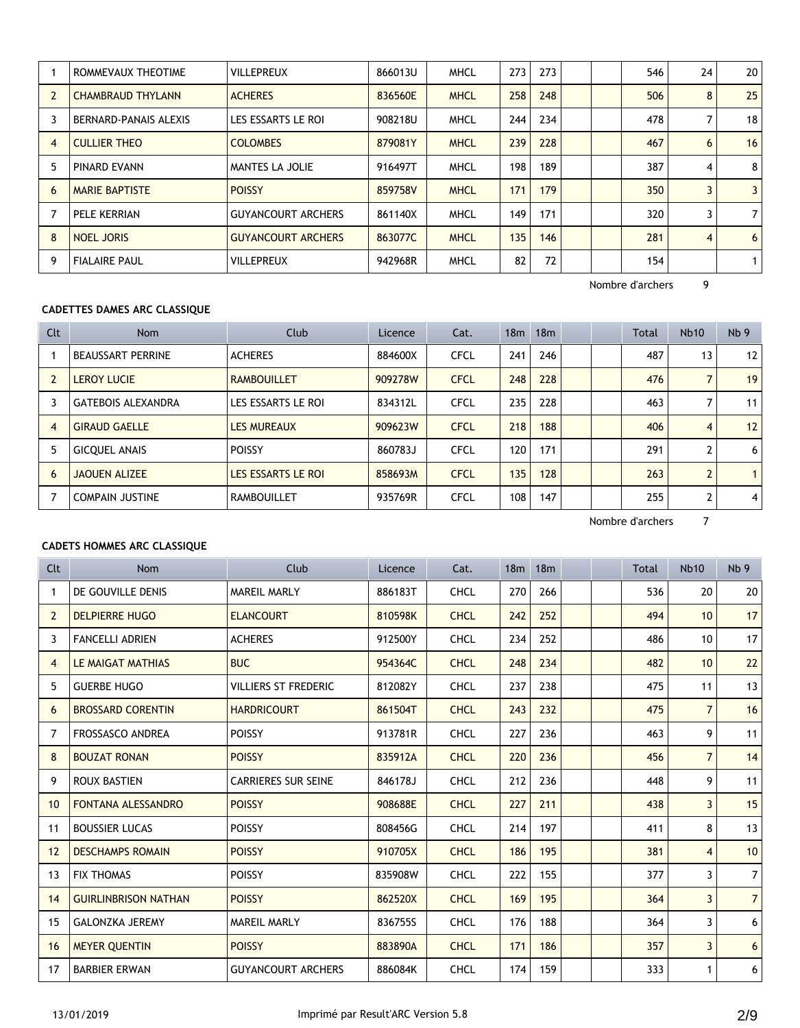|                | ROMMEVAUX THEOTIME       | <b>VILLEPREUX</b>         | 866013U | <b>MHCL</b> | 273 | 273 |  | 546 | 24 | 20             |
|----------------|--------------------------|---------------------------|---------|-------------|-----|-----|--|-----|----|----------------|
|                | <b>CHAMBRAUD THYLANN</b> | <b>ACHERES</b>            | 836560E | <b>MHCL</b> | 258 | 248 |  | 506 | 8  | 25             |
|                | BERNARD-PANAIS ALEXIS    | LES ESSARTS LE ROI        | 908218U | <b>MHCL</b> | 244 | 234 |  | 478 |    | 18             |
| $\overline{4}$ | <b>CULLIER THEO</b>      | <b>COLOMBES</b>           | 879081Y | <b>MHCL</b> | 239 | 228 |  | 467 | 6  | 16             |
| 5              | PINARD EVANN             | MANTES LA JOLIE           | 916497T | <b>MHCL</b> | 198 | 189 |  | 387 | 4  | 8              |
| 6              | <b>MARIE BAPTISTE</b>    | <b>POISSY</b>             | 859758V | <b>MHCL</b> | 171 | 179 |  | 350 | 3  | $\mathbf{3}$   |
|                | PELE KERRIAN             | <b>GUYANCOURT ARCHERS</b> | 861140X | <b>MHCL</b> | 149 | 171 |  | 320 | 3  | $\overline{7}$ |
| 8              | NOEL JORIS               | <b>GUYANCOURT ARCHERS</b> | 863077C | <b>MHCL</b> | 135 | 146 |  | 281 | 4  | 6              |
| 9              | <b>FIALAIRE PAUL</b>     | <b>VILLEPREUX</b>         | 942968R | <b>MHCL</b> | 82  | 72  |  | 154 |    | $\mathbf{1}$   |

## **CADETTES DAMES ARC CLASSIQUE**

| Clt            | <b>Nom</b>                | Club               | Licence | Cat.        | 18 <sub>m</sub> | 18 <sub>m</sub> |  | <b>Total</b> | <b>Nb10</b>              | Nb <sub>9</sub> |
|----------------|---------------------------|--------------------|---------|-------------|-----------------|-----------------|--|--------------|--------------------------|-----------------|
|                | <b>BEAUSSART PERRINE</b>  | <b>ACHERES</b>     | 884600X | <b>CFCL</b> | 241             | 246             |  | 487          | 13                       | 12 <sup>1</sup> |
| $\overline{2}$ | <b>LEROY LUCIE</b>        | <b>RAMBOUILLET</b> | 909278W | <b>CFCL</b> | 248             | 228             |  | 476          |                          | 19              |
| 3              | <b>GATEBOIS ALEXANDRA</b> | LES ESSARTS LE ROI | 834312L | <b>CFCL</b> | 235             | 228             |  | 463          |                          | 11              |
| $\overline{4}$ | <b>GIRAUD GAELLE</b>      | <b>LES MUREAUX</b> | 909623W | <b>CFCL</b> | 218             | 188             |  | 406          | $\overline{4}$           | 12              |
| 5              | <b>GICQUEL ANAIS</b>      | <b>POISSY</b>      | 860783J | <b>CFCL</b> | 120             | 171             |  | 291          | $\mathcal{P}$            | 6 <sup>1</sup>  |
| 6              | <b>JAOUEN ALIZEE</b>      | LES ESSARTS LE ROI | 858693M | <b>CFCL</b> | 135             | 128             |  | 263          | $\overline{\phantom{0}}$ | 1 <sup>1</sup>  |
|                | <b>COMPAIN JUSTINE</b>    | <b>RAMBOUILLET</b> | 935769R | <b>CFCL</b> | 108             | 147             |  | 255          | 2                        | $\vert$         |

Nombre d'archers 7

## **CADETS HOMMES ARC CLASSIQUE**

| Clt            | <b>Nom</b>                  | Club                        | Licence | Cat.        | 18 <sub>m</sub> | 18 <sub>m</sub> |  | Total | <b>Nb10</b>    | Nb <sub>9</sub> |
|----------------|-----------------------------|-----------------------------|---------|-------------|-----------------|-----------------|--|-------|----------------|-----------------|
| 1              | DE GOUVILLE DENIS           | <b>MAREIL MARLY</b>         | 886183T | <b>CHCL</b> | 270             | 266             |  | 536   | 20             | 20              |
| $\overline{2}$ | <b>DELPIERRE HUGO</b>       | <b>ELANCOURT</b>            | 810598K | <b>CHCL</b> | 242             | 252             |  | 494   | 10             | 17              |
| 3              | <b>FANCELLI ADRIEN</b>      | <b>ACHERES</b>              | 912500Y | <b>CHCL</b> | 234             | 252             |  | 486   | 10             | 17              |
| 4              | LE MAIGAT MATHIAS           | <b>BUC</b>                  | 954364C | <b>CHCL</b> | 248             | 234             |  | 482   | 10             | 22              |
| 5              | <b>GUERBE HUGO</b>          | <b>VILLIERS ST FREDERIC</b> | 812082Y | <b>CHCL</b> | 237             | 238             |  | 475   | 11             | 13              |
| 6              | <b>BROSSARD CORENTIN</b>    | <b>HARDRICOURT</b>          | 861504T | <b>CHCL</b> | 243             | 232             |  | 475   | $\overline{7}$ | 16              |
| 7              | <b>FROSSASCO ANDREA</b>     | <b>POISSY</b>               | 913781R | <b>CHCL</b> | 227             | 236             |  | 463   | 9              | 11              |
| 8              | <b>BOUZAT RONAN</b>         | <b>POISSY</b>               | 835912A | <b>CHCL</b> | 220             | 236             |  | 456   | $\overline{7}$ | 14              |
| 9              | <b>ROUX BASTIEN</b>         | <b>CARRIERES SUR SEINE</b>  | 846178J | <b>CHCL</b> | 212             | 236             |  | 448   | 9              | 11              |
| 10             | <b>FONTANA ALESSANDRO</b>   | <b>POISSY</b>               | 908688E | <b>CHCL</b> | 227             | 211             |  | 438   | $\overline{3}$ | 15              |
| 11             | <b>BOUSSIER LUCAS</b>       | <b>POISSY</b>               | 808456G | <b>CHCL</b> | 214             | 197             |  | 411   | 8              | 13              |
| 12             | <b>DESCHAMPS ROMAIN</b>     | <b>POISSY</b>               | 910705X | <b>CHCL</b> | 186             | 195             |  | 381   | 4              | 10              |
| 13             | <b>FIX THOMAS</b>           | <b>POISSY</b>               | 835908W | <b>CHCL</b> | 222             | 155             |  | 377   | 3              | $\overline{7}$  |
| 14             | <b>GUIRLINBRISON NATHAN</b> | <b>POISSY</b>               | 862520X | <b>CHCL</b> | 169             | 195             |  | 364   | $\overline{3}$ | $\overline{7}$  |
| 15             | <b>GALONZKA JEREMY</b>      | <b>MAREIL MARLY</b>         | 836755S | <b>CHCL</b> | 176             | 188             |  | 364   | 3              | 6               |
| 16             | <b>MEYER QUENTIN</b>        | <b>POISSY</b>               | 883890A | <b>CHCL</b> | 171             | 186             |  | 357   | 3              | 6               |
| 17             | <b>BARBIER ERWAN</b>        | <b>GUYANCOURT ARCHERS</b>   | 886084K | <b>CHCL</b> | 174             | 159             |  | 333   | 1              | 6               |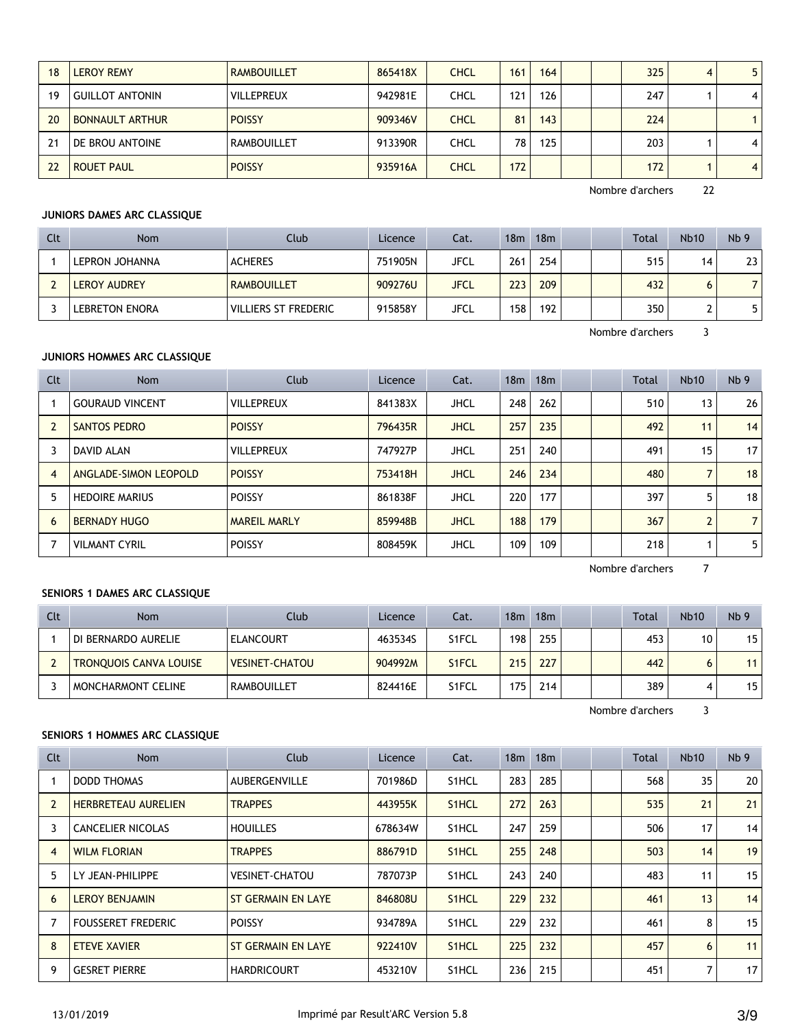| 18 | <b>LEROY REMY</b>      | <b>RAMBOUILLET</b> | 865418X | <b>CHCL</b> | 161              | 164 |  | 325 | 4 | 5 <sup>1</sup>  |
|----|------------------------|--------------------|---------|-------------|------------------|-----|--|-----|---|-----------------|
| 19 | <b>GUILLOT ANTONIN</b> | <b>VILLEPREUX</b>  | 942981E | CHCL        | 121              | 126 |  | 247 |   | $\vert$         |
| 20 | <b>BONNAULT ARTHUR</b> | <b>POISSY</b>      | 909346V | <b>CHCL</b> | 81               | 143 |  | 224 |   |                 |
| 21 | DE BROU ANTOINE        | RAMBOUILLET        | 913390R | <b>CHCL</b> | 78               | 125 |  | 203 |   | $\vert 4 \vert$ |
| 22 | <b>ROUET PAUL</b>      | <b>POISSY</b>      | 935916A | <b>CHCL</b> | 172 <sub>1</sub> |     |  | 172 |   | 4 <sup>1</sup>  |

#### **JUNIORS DAMES ARC CLASSIQUE**

| Clt | <b>Nom</b>     | Club                 | Licence | Cat.        | 18m | 18 <sub>m</sub> |  | <b>Total</b> | <b>Nb10</b> | Nb <sub>9</sub> |
|-----|----------------|----------------------|---------|-------------|-----|-----------------|--|--------------|-------------|-----------------|
|     | LEPRON JOHANNA | <b>ACHERES</b>       | 751905N | JFCL        | 261 | 254             |  | 515          | 14          | 23              |
|     | LEROY AUDREY   | <b>RAMBOUILLET</b>   | 909276U | <b>JFCL</b> | 223 | 209             |  | 432          |             |                 |
|     | LEBRETON ENORA | VILLIERS ST FREDERIC | 915858Y | JFCL        | 158 | 192             |  | 350          |             |                 |

Nombre d'archers 3

# **JUNIORS HOMMES ARC CLASSIQUE**

| Clt            | Nom                    | Club                | Licence | Cat.        | 18 <sub>m</sub> | 18m |  | <b>Total</b> | <b>Nb10</b>  | Nb <sub>9</sub> |
|----------------|------------------------|---------------------|---------|-------------|-----------------|-----|--|--------------|--------------|-----------------|
|                | <b>GOURAUD VINCENT</b> | <b>VILLEPREUX</b>   | 841383X | <b>JHCL</b> | 248             | 262 |  | 510          | 13           | 26              |
| $\overline{2}$ | <b>SANTOS PEDRO</b>    | <b>POISSY</b>       | 796435R | <b>JHCL</b> | 257             | 235 |  | 492          | 11           | 14              |
|                | DAVID ALAN             | <b>VILLEPREUX</b>   | 747927P | <b>JHCL</b> | 251             | 240 |  | 491          | 15           | 17              |
| $\overline{4}$ | ANGLADE-SIMON LEOPOLD  | <b>POISSY</b>       | 753418H | <b>JHCL</b> | 246             | 234 |  | 480          |              | 18              |
| 5              | <b>HEDOIRE MARIUS</b>  | <b>POISSY</b>       | 861838F | JHCL        | 220             | 177 |  | 397          | 5.           | 18              |
| 6              | <b>BERNADY HUGO</b>    | <b>MAREIL MARLY</b> | 859948B | <b>JHCL</b> | 188             | 179 |  | 367          | <sup>2</sup> | $\overline{7}$  |
|                | <b>VILMANT CYRIL</b>   | <b>POISSY</b>       | 808459K | <b>JHCL</b> | 109             | 109 |  | 218          |              | 5               |

Nombre d'archers 7

## **SENIORS 1 DAMES ARC CLASSIQUE**

| Clt | Nom                           | Club                  | Licence | Cat.               | 18 <sub>m</sub>  | 18m |  | <b>Total</b> | <b>Nb10</b> | Nb <sub>9</sub> |
|-----|-------------------------------|-----------------------|---------|--------------------|------------------|-----|--|--------------|-------------|-----------------|
|     | ' DI BERNARDO AURELIE         | <b>ELANCOURT</b>      | 463534S | S1FCL              | 198 <sub>1</sub> | 255 |  | 453          | 10          | 15              |
|     | <b>TRONQUOIS CANVA LOUISE</b> | <b>VESINET-CHATOU</b> | 904992M | S <sub>1</sub> FCL | 215              | 227 |  | 442          | 6           |                 |
|     | <b>MONCHARMONT CELINE</b>     | RAMBOUILLET           | 824416E | S1FCL              | 175              | 214 |  | 389          |             | ا 15            |

Nombre d'archers 3

## **SENIORS 1 HOMMES ARC CLASSIQUE**

| Clt            | Nom                        | Club                      | Licence | Cat.               | 18 <sub>m</sub> | 18m |  | Total | Nb10 | Nb <sub>9</sub> |
|----------------|----------------------------|---------------------------|---------|--------------------|-----------------|-----|--|-------|------|-----------------|
|                | <b>DODD THOMAS</b>         | <b>AUBERGENVILLE</b>      | 701986D | S1HCL              | 283             | 285 |  | 568   | 35   | 20              |
| $\overline{2}$ | <b>HERBRETEAU AURELIEN</b> | <b>TRAPPES</b>            | 443955K | S <sub>1</sub> HCL | 272             | 263 |  | 535   | 21   | 21              |
| 3              | <b>CANCELIER NICOLAS</b>   | <b>HOUILLES</b>           | 678634W | S1HCL              | 247             | 259 |  | 506   | 17   | 14              |
| $\overline{4}$ | <b>WILM FLORIAN</b>        | <b>TRAPPES</b>            | 886791D | S <sub>1</sub> HCL | 255             | 248 |  | 503   | 14   | 19              |
| 5              | LY JEAN-PHILIPPE           | <b>VESINET-CHATOU</b>     | 787073P | S1HCL              | 243             | 240 |  | 483   | 11   | 15              |
| 6              | <b>LEROY BENJAMIN</b>      | <b>ST GERMAIN EN LAYE</b> | 846808U | S <sub>1</sub> HCL | 229             | 232 |  | 461   | 13   | 14              |
|                | <b>FOUSSERET FREDERIC</b>  | <b>POISSY</b>             | 934789A | S1HCL              | 229             | 232 |  | 461   | 8    | 15              |
| 8              | <b>ETEVE XAVIER</b>        | <b>ST GERMAIN EN LAYE</b> | 922410V | S <sub>1</sub> HCL | 225             | 232 |  | 457   | 6    | 11              |
| 9              | <b>GESRET PIERRE</b>       | <b>HARDRICOURT</b>        | 453210V | S1HCL              | 236             | 215 |  | 451   | 7    | 17              |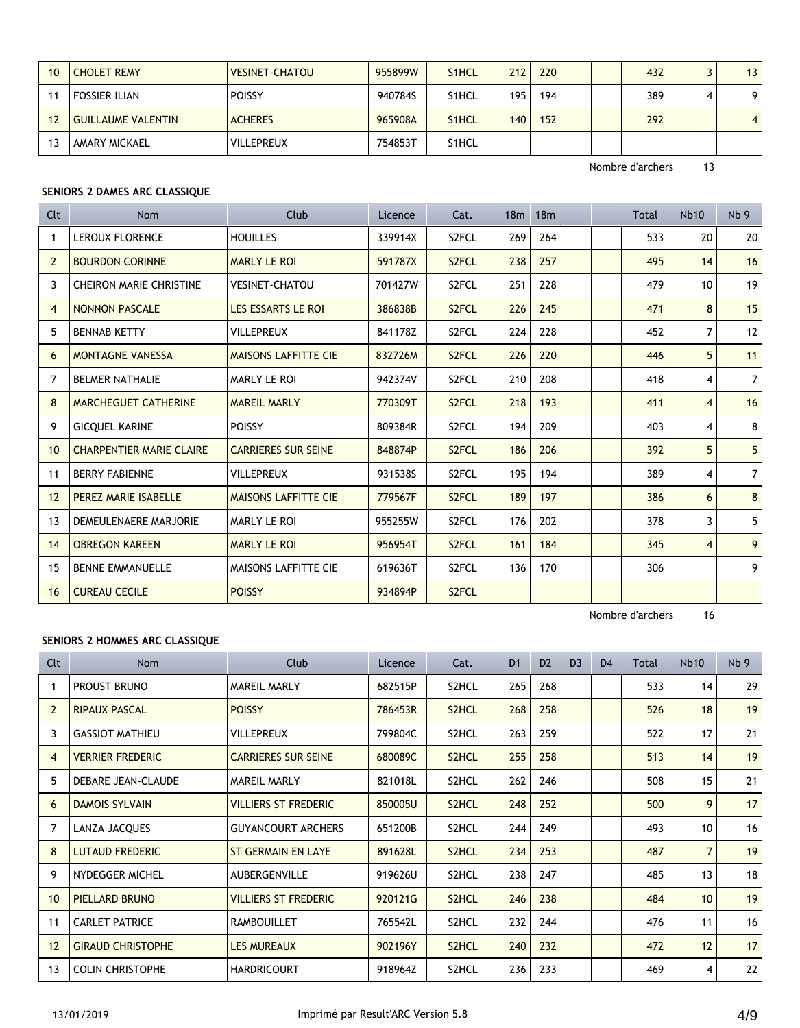| 10 | <b>CHOLET REMY</b>        | <b>VESINET-CHATOU</b> | 955899W | S <sub>1</sub> HCL | 212 | 220 |  | 432 | 13 <sup>1</sup> |
|----|---------------------------|-----------------------|---------|--------------------|-----|-----|--|-----|-----------------|
|    | <b>FOSSIER ILIAN</b>      | <b>POISSY</b>         | 940784S | S <sub>1</sub> HCL | 195 | 194 |  | 389 | 9               |
|    | <b>GUILLAUME VALENTIN</b> | <b>ACHERES</b>        | 965908A | S <sub>1</sub> HCL | 140 | 152 |  | 292 | $\vert$         |
|    | AMARY MICKAEL             | <b>VILLEPREUX</b>     | 754853T | S <sub>1</sub> HCL |     |     |  |     |                 |

# **SENIORS 2 DAMES ARC CLASSIQUE**

| Clt | Nom                             | Club                        | Licence | Cat.               | 18 <sub>m</sub> | 18 <sub>m</sub> |  | Total | <b>Nb10</b>    | Nb <sub>9</sub> |
|-----|---------------------------------|-----------------------------|---------|--------------------|-----------------|-----------------|--|-------|----------------|-----------------|
| 1   | <b>LEROUX FLORENCE</b>          | <b>HOUILLES</b>             | 339914X | S <sub>2</sub> FCL | 269             | 264             |  | 533   | 20             | 20              |
| 2   | <b>BOURDON CORINNE</b>          | <b>MARLY LE ROI</b>         | 591787X | S <sub>2</sub> FCL | 238             | 257             |  | 495   | 14             | 16              |
| 3   | <b>CHEIRON MARIE CHRISTINE</b>  | <b>VESINET-CHATOU</b>       | 701427W | S <sub>2</sub> FCL | 251             | 228             |  | 479   | 10             | 19              |
| 4   | NONNON PASCALE                  | LES ESSARTS LE ROI          | 386838B | S <sub>2</sub> FCL | 226             | 245             |  | 471   | 8              | 15              |
| 5   | <b>BENNAB KETTY</b>             | <b>VILLEPREUX</b>           | 841178Z | S <sub>2</sub> FCL | 224             | 228             |  | 452   | $\overline{7}$ | 12              |
| 6   | <b>MONTAGNE VANESSA</b>         | <b>MAISONS LAFFITTE CIE</b> | 832726M | S <sub>2</sub> FCL | 226             | 220             |  | 446   | 5              | 11              |
| 7   | <b>BELMER NATHALIE</b>          | <b>MARLY LE ROI</b>         | 942374V | S <sub>2</sub> FCL | 210             | 208             |  | 418   | 4              | $\overline{7}$  |
| 8   | <b>MARCHEGUET CATHERINE</b>     | <b>MAREIL MARLY</b>         | 770309T | S <sub>2</sub> FCL | 218             | 193             |  | 411   | $\overline{4}$ | 16              |
| 9   | <b>GICQUEL KARINE</b>           | <b>POISSY</b>               | 809384R | S <sub>2</sub> FCL | 194             | 209             |  | 403   | 4              | 8               |
| 10  | <b>CHARPENTIER MARIE CLAIRE</b> | <b>CARRIERES SUR SEINE</b>  | 848874P | S <sub>2</sub> FCL | 186             | 206             |  | 392   | 5              | 5               |
| 11  | <b>BERRY FABIENNE</b>           | <b>VILLEPREUX</b>           | 931538S | S <sub>2</sub> FCL | 195             | 194             |  | 389   | 4              | $\overline{7}$  |
| 12  | PEREZ MARIE ISABELLE            | <b>MAISONS LAFFITTE CIE</b> | 779567F | S <sub>2</sub> FCL | 189             | 197             |  | 386   | 6              | 8               |
| 13  | DEMEULENAERE MARJORIE           | MARLY LE ROI                | 955255W | S <sub>2</sub> FCL | 176             | 202             |  | 378   | 3              | 5               |
| 14  | <b>OBREGON KAREEN</b>           | <b>MARLY LE ROI</b>         | 956954T | S <sub>2</sub> FCL | 161             | 184             |  | 345   | $\overline{4}$ | 9               |
| 15  | <b>BENNE EMMANUELLE</b>         | <b>MAISONS LAFFITTE CIE</b> | 619636T | S2FCL              | 136             | 170             |  | 306   |                | 9               |
| 16  | <b>CUREAU CECILE</b>            | <b>POISSY</b>               | 934894P | S <sub>2</sub> FCL |                 |                 |  |       |                |                 |

Nombre d'archers 16

## **SENIORS 2 HOMMES ARC CLASSIQUE**

| Clt            | <b>Nom</b>               | Club                        | Licence | Cat.               | D <sub>1</sub> | D <sub>2</sub> | D <sub>3</sub> | D <sub>4</sub> | Total | <b>Nb10</b>    | Nb <sub>9</sub> |
|----------------|--------------------------|-----------------------------|---------|--------------------|----------------|----------------|----------------|----------------|-------|----------------|-----------------|
|                | PROUST BRUNO             | <b>MAREIL MARLY</b>         | 682515P | S <sub>2</sub> HCL | 265            | 268            |                |                | 533   | 14             | 29              |
| $\overline{2}$ | <b>RIPAUX PASCAL</b>     | <b>POISSY</b>               | 786453R | S2HCL              | 268            | 258            |                |                | 526   | 18             | 19              |
| 3              | <b>GASSIOT MATHIEU</b>   | VILLEPREUX                  | 799804C | S <sub>2</sub> HCL | 263            | 259            |                |                | 522   | 17             | 21              |
| $\overline{4}$ | <b>VERRIER FREDERIC</b>  | <b>CARRIERES SUR SEINE</b>  | 680089C | S <sub>2</sub> HCL | 255            | 258            |                |                | 513   | 14             | 19              |
| 5              | DEBARE JEAN-CLAUDE       | MAREIL MARLY                | 821018L | S2HCL              | 262            | 246            |                |                | 508   | 15             | 21              |
| 6              | <b>DAMOIS SYLVAIN</b>    | VILLIERS ST FREDERIC        | 850005U | S <sub>2</sub> HCL | 248            | 252            |                |                | 500   | 9              | 17              |
| 7              | LANZA JACQUES            | <b>GUYANCOURT ARCHERS</b>   | 651200B | S2HCL              | 244            | 249            |                |                | 493   | 10             | 16              |
| 8              | <b>LUTAUD FREDERIC</b>   | <b>ST GERMAIN EN LAYE</b>   | 891628L | S2HCL              | 234            | 253            |                |                | 487   | $\overline{7}$ | 19              |
| 9              | NYDEGGER MICHEL          | AUBERGENVILLE               | 919626U | S2HCL              | 238            | 247            |                |                | 485   | 13             | 18              |
| 10             | PIELLARD BRUNO           | <b>VILLIERS ST FREDERIC</b> | 920121G | S <sub>2</sub> HCL | 246            | 238            |                |                | 484   | 10             | 19              |
| 11             | <b>CARLET PATRICE</b>    | RAMBOUILLET                 | 765542L | S2HCL              | 232            | 244            |                |                | 476   | 11             | 16              |
| 12             | <b>GIRAUD CHRISTOPHE</b> | <b>LES MUREAUX</b>          | 902196Y | S <sub>2</sub> HCL | 240            | 232            |                |                | 472   | 12             | 17              |
| 13             | <b>COLIN CHRISTOPHE</b>  | <b>HARDRICOURT</b>          | 918964Z | S <sub>2</sub> HCL | 236            | 233            |                |                | 469   | 4              | 22              |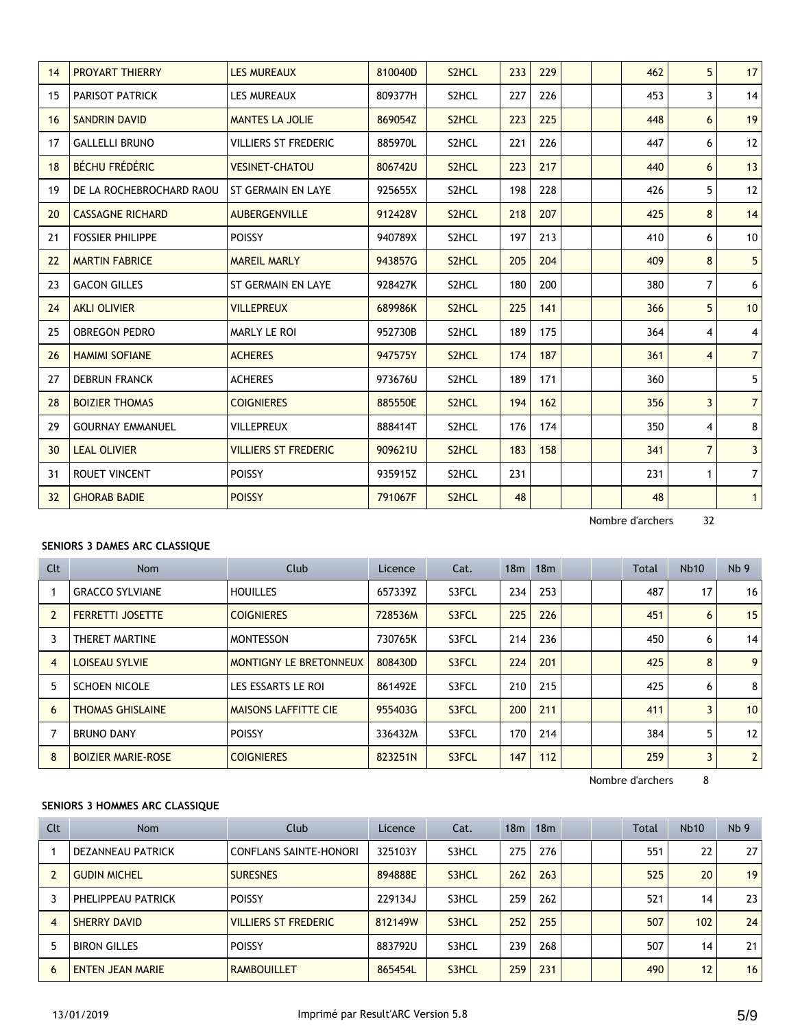| 14 | <b>PROYART THIERRY</b>   | <b>LES MUREAUX</b>          | 810040D | S <sub>2</sub> HCL | 233 | 229 |  | 462 | 5              | 17             |
|----|--------------------------|-----------------------------|---------|--------------------|-----|-----|--|-----|----------------|----------------|
| 15 | <b>PARISOT PATRICK</b>   | <b>LES MUREAUX</b>          | 809377H | S2HCL              | 227 | 226 |  | 453 | 3              | 14             |
| 16 | <b>SANDRIN DAVID</b>     | <b>MANTES LA JOLIE</b>      | 869054Z | S <sub>2</sub> HCL | 223 | 225 |  | 448 | 6              | 19             |
| 17 | <b>GALLELLI BRUNO</b>    | <b>VILLIERS ST FREDERIC</b> | 885970L | S2HCL              | 221 | 226 |  | 447 | 6              | 12             |
| 18 | <b>BÉCHU FRÉDÉRIC</b>    | <b>VESINET-CHATOU</b>       | 806742U | S <sub>2</sub> HCL | 223 | 217 |  | 440 | 6              | 13             |
| 19 | DE LA ROCHEBROCHARD RAOU | ST GERMAIN EN LAYE          | 925655X | S <sub>2</sub> HCL | 198 | 228 |  | 426 | 5              | 12             |
| 20 | <b>CASSAGNE RICHARD</b>  | <b>AUBERGENVILLE</b>        | 912428V | S <sub>2</sub> HCL | 218 | 207 |  | 425 | 8              | 14             |
| 21 | <b>FOSSIER PHILIPPE</b>  | <b>POISSY</b>               | 940789X | S2HCL              | 197 | 213 |  | 410 | 6              | 10             |
| 22 | <b>MARTIN FABRICE</b>    | <b>MAREIL MARLY</b>         | 943857G | S <sub>2</sub> HCL | 205 | 204 |  | 409 | 8              | 5              |
| 23 | <b>GACON GILLES</b>      | ST GERMAIN EN LAYE          | 928427K | S2HCL              | 180 | 200 |  | 380 | $\overline{7}$ | 6              |
| 24 | <b>AKLI OLIVIER</b>      | <b>VILLEPREUX</b>           | 689986K | S <sub>2</sub> HCL | 225 | 141 |  | 366 | 5              | 10             |
| 25 | <b>OBREGON PEDRO</b>     | MARLY LE ROI                | 952730B | S2HCL              | 189 | 175 |  | 364 | 4              | 4              |
| 26 | <b>HAMIMI SOFIANE</b>    | <b>ACHERES</b>              | 947575Y | S <sub>2</sub> HCL | 174 | 187 |  | 361 | $\overline{4}$ | $\overline{7}$ |
| 27 | <b>DEBRUN FRANCK</b>     | <b>ACHERES</b>              | 973676U | S2HCL              | 189 | 171 |  | 360 |                | 5              |
| 28 | <b>BOIZIER THOMAS</b>    | <b>COIGNIERES</b>           | 885550E | S <sub>2</sub> HCL | 194 | 162 |  | 356 | 3              | $\overline{7}$ |
| 29 | <b>GOURNAY EMMANUEL</b>  | <b>VILLEPREUX</b>           | 888414T | S <sub>2</sub> HCL | 176 | 174 |  | 350 | 4              | 8              |
| 30 | <b>LEAL OLIVIER</b>      | <b>VILLIERS ST FREDERIC</b> | 909621U | S <sub>2</sub> HCL | 183 | 158 |  | 341 | $\overline{7}$ | $\overline{3}$ |
| 31 | <b>ROUET VINCENT</b>     | <b>POISSY</b>               | 935915Z | S <sub>2</sub> HCL | 231 |     |  | 231 | $\mathbf{1}$   | $\overline{7}$ |
| 32 | <b>GHORAB BADIE</b>      | <b>POISSY</b>               | 791067F | S <sub>2</sub> HCL | 48  |     |  | 48  |                | $\mathbf{1}$   |

## **SENIORS 3 DAMES ARC CLASSIQUE**

| Clt            | <b>Nom</b>                | Club                        | Licence | Cat.  | 18 <sub>m</sub> | 18 <sub>m</sub> |  | <b>Total</b> | <b>Nb10</b> | Nb <sub>9</sub> |
|----------------|---------------------------|-----------------------------|---------|-------|-----------------|-----------------|--|--------------|-------------|-----------------|
|                | <b>GRACCO SYLVIANE</b>    | <b>HOUILLES</b>             | 657339Z | S3FCL | 234             | 253             |  | 487          | 17          | 16              |
| $\overline{2}$ | <b>FERRETTI JOSETTE</b>   | <b>COIGNIERES</b>           | 728536M | S3FCL | 225             | 226             |  | 451          | 6           | 15              |
|                | THERET MARTINE            | <b>MONTESSON</b>            | 730765K | S3FCL | 214             | 236             |  | 450          | 6           | 14              |
| $\overline{4}$ | <b>LOISEAU SYLVIE</b>     | MONTIGNY LE BRETONNEUX      | 808430D | S3FCL | 224             | 201             |  | 425          | 8           | 9 <sup>1</sup>  |
| 5              | <b>SCHOEN NICOLE</b>      | LES ESSARTS LE ROI          | 861492E | S3FCL | 210             | 215             |  | 425          | 6           | 8 <sup>1</sup>  |
| 6              | <b>THOMAS GHISLAINE</b>   | <b>MAISONS LAFFITTE CIE</b> | 955403G | S3FCL | 200             | 211             |  | 411          | 3           | 10 <sup>1</sup> |
|                | <b>BRUNO DANY</b>         | <b>POISSY</b>               | 336432M | S3FCL | 170             | 214             |  | 384          | 5           | 12              |
| 8              | <b>BOIZIER MARIE-ROSE</b> | <b>COIGNIERES</b>           | 823251N | S3FCL | 147             | 112             |  | 259          | 3           | 2 <sup>1</sup>  |

Nombre d'archers 8

#### **SENIORS 3 HOMMES ARC CLASSIQUE**

| Clt            | <b>Nom</b>              | Club                          | Licence | Cat.  | 18 <sub>m</sub> | 18m |  | <b>Total</b> | <b>Nb10</b> | Nb <sub>9</sub> |
|----------------|-------------------------|-------------------------------|---------|-------|-----------------|-----|--|--------------|-------------|-----------------|
|                | DEZANNEAU PATRICK       | <b>CONFLANS SAINTE-HONORI</b> | 325103Y | S3HCL | 275             | 276 |  | 551          | 22          | 27              |
|                | <b>GUDIN MICHEL</b>     | <b>SURESNES</b>               | 894888E | S3HCL | 262             | 263 |  | 525          | 20          | 19 <sub>1</sub> |
|                | PHELIPPEAU PATRICK      | <b>POISSY</b>                 | 229134J | S3HCL | 259             | 262 |  | 521          | 14          | 23              |
| $\overline{4}$ | SHERRY DAVID            | <b>VILLIERS ST FREDERIC</b>   | 812149W | S3HCL | 252             | 255 |  | 507          | 102         | 24              |
|                | <b>BIRON GILLES</b>     | <b>POISSY</b>                 | 883792U | S3HCL | 239             | 268 |  | 507          | 14          | 21              |
| 6              | <b>ENTEN JEAN MARIE</b> | <b>RAMBOUILLET</b>            | 865454L | S3HCL | 259             | 231 |  | 490          | 12          | 16              |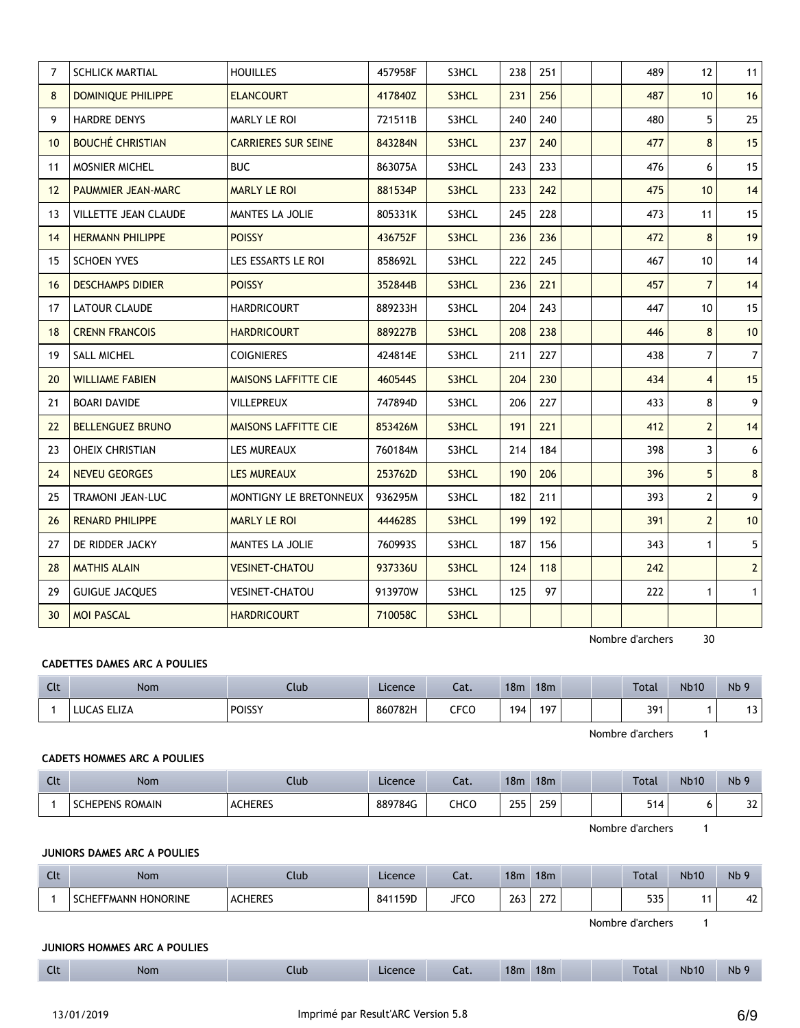| $\overline{7}$ | <b>SCHLICK MARTIAL</b>      | <b>HOUILLES</b>             | 457958F | S3HCL | 238 | 251 |  | 489 | 12             | 11             |
|----------------|-----------------------------|-----------------------------|---------|-------|-----|-----|--|-----|----------------|----------------|
| 8              | <b>DOMINIQUE PHILIPPE</b>   | <b>ELANCOURT</b>            | 417840Z | S3HCL | 231 | 256 |  | 487 | 10             | 16             |
| 9              | <b>HARDRE DENYS</b>         | MARLY LE ROI                | 721511B | S3HCL | 240 | 240 |  | 480 | 5              | 25             |
| 10             | <b>BOUCHÉ CHRISTIAN</b>     | <b>CARRIERES SUR SEINE</b>  | 843284N | S3HCL | 237 | 240 |  | 477 | 8              | 15             |
| 11             | MOSNIER MICHEL              | <b>BUC</b>                  | 863075A | S3HCL | 243 | 233 |  | 476 | 6              | 15             |
| 12             | <b>PAUMMIER JEAN-MARC</b>   | <b>MARLY LE ROL</b>         | 881534P | S3HCL | 233 | 242 |  | 475 | 10             | 14             |
| 13             | <b>VILLETTE JEAN CLAUDE</b> | <b>MANTES LA JOLIE</b>      | 805331K | S3HCL | 245 | 228 |  | 473 | 11             | 15             |
| 14             | <b>HERMANN PHILIPPE</b>     | <b>POISSY</b>               | 436752F | S3HCL | 236 | 236 |  | 472 | 8              | 19             |
| 15             | <b>SCHOEN YVES</b>          | LES ESSARTS LE ROI          | 858692L | S3HCL | 222 | 245 |  | 467 | 10             | 14             |
| 16             | <b>DESCHAMPS DIDIER</b>     | <b>POISSY</b>               | 352844B | S3HCL | 236 | 221 |  | 457 | $\overline{7}$ | 14             |
| 17             | <b>LATOUR CLAUDE</b>        | <b>HARDRICOURT</b>          | 889233H | S3HCL | 204 | 243 |  | 447 | 10             | 15             |
| 18             | <b>CRENN FRANCOIS</b>       | <b>HARDRICOURT</b>          | 889227B | S3HCL | 208 | 238 |  | 446 | 8              | 10             |
| 19             | <b>SALL MICHEL</b>          | <b>COIGNIERES</b>           | 424814E | S3HCL | 211 | 227 |  | 438 | $\overline{7}$ | $\overline{7}$ |
| 20             | <b>WILLIAME FABIEN</b>      | <b>MAISONS LAFFITTE CIE</b> | 460544S | S3HCL | 204 | 230 |  | 434 | $\overline{4}$ | 15             |
| 21             | <b>BOARI DAVIDE</b>         | <b>VILLEPREUX</b>           | 747894D | S3HCL | 206 | 227 |  | 433 | 8              | 9              |
| 22             | <b>BELLENGUEZ BRUNO</b>     | <b>MAISONS LAFFITTE CIE</b> | 853426M | S3HCL | 191 | 221 |  | 412 | $\overline{2}$ | 14             |
| 23             | OHEIX CHRISTIAN             | <b>LES MUREAUX</b>          | 760184M | S3HCL | 214 | 184 |  | 398 | 3              | 6              |
| 24             | <b>NEVEU GEORGES</b>        | <b>LES MUREAUX</b>          | 253762D | S3HCL | 190 | 206 |  | 396 | 5              | 8              |
| 25             | TRAMONI JEAN-LUC            | MONTIGNY LE BRETONNEUX      | 936295M | S3HCL | 182 | 211 |  | 393 | $\mathbf{2}$   | 9              |
| 26             | <b>RENARD PHILIPPE</b>      | <b>MARLY LE ROI</b>         | 444628S | S3HCL | 199 | 192 |  | 391 | $\overline{2}$ | 10             |
| 27             | DE RIDDER JACKY             | MANTES LA JOLIE             | 760993S | S3HCL | 187 | 156 |  | 343 | $\mathbf{1}$   | 5              |
| 28             | <b>MATHIS ALAIN</b>         | <b>VESINET-CHATOU</b>       | 937336U | S3HCL | 124 | 118 |  | 242 |                | $\overline{2}$ |
| 29             | <b>GUIGUE JACQUES</b>       | <b>VESINET-CHATOU</b>       | 913970W | S3HCL | 125 | 97  |  | 222 | $\mathbf{1}$   | $\mathbf{1}$   |
| 30             | <b>MOI PASCAL</b>           | <b>HARDRICOURT</b>          | 710058C | S3HCL |     |     |  |     |                |                |
|                |                             |                             |         |       |     |     |  |     |                |                |

#### **CADETTES DAMES ARC A POULIES**

| <b>Clt</b> | Nom            | Club          | Licence | Cat. | 18 <sub>m</sub> | 18 <sub>m</sub> |  | <b>Total</b> | <b>Nb10</b> | N <sub>b</sub> 9 |
|------------|----------------|---------------|---------|------|-----------------|-----------------|--|--------------|-------------|------------------|
|            | ELIZA<br>LUCAS | <b>POISSY</b> | 860782H | CFCO | 194             | 97              |  | 391          |             | ر .              |

Nombre d'archers 1

#### **CADETS HOMMES ARC A POULIES**

| $\sim$<br>uu | Nom                    | ∟lub           | Licence | Cat. | 18m         | 18m |  | <b>Total</b> | <b>Nb10</b> | Nb <sub>9</sub>     |
|--------------|------------------------|----------------|---------|------|-------------|-----|--|--------------|-------------|---------------------|
|              | <b>SCHEPENS ROMAIN</b> | <b>ACHERES</b> | 889784G | снсо | つらら<br>ر ر_ | 259 |  | 514          |             | $\sim$ $\sim$<br>ےر |

Nombre d'archers 1

#### **JUNIORS DAMES ARC A POULIES**

| $\Gamma$<br><b>UU</b> | <b>Nom</b>                 | ∟lub           | Licence     | $\overline{\phantom{a}}$<br>cal. | 18 <sub>m</sub> | 18m        |  | <b>Total</b> | Nb10 | Nb <sub>5</sub> |
|-----------------------|----------------------------|----------------|-------------|----------------------------------|-----------------|------------|--|--------------|------|-----------------|
|                       | <b>SCHEFFMANN HONORINE</b> | <b>ACHERES</b> | 159D<br>841 | JFCO                             | 263             | 272<br>LIL |  | 535          |      | 42              |

Nombre d'archers 1

# **JUNIORS HOMMES ARC A POULIES**

| $\sim$<br><b>CIL</b> | Nom | Llub | Licence | $\sim$<br>Cal. | 18 <sub>m</sub> | 18m | Total | Nb <sub>10</sub> | <b>Nb</b> |
|----------------------|-----|------|---------|----------------|-----------------|-----|-------|------------------|-----------|
|                      |     |      |         |                |                 |     |       |                  |           |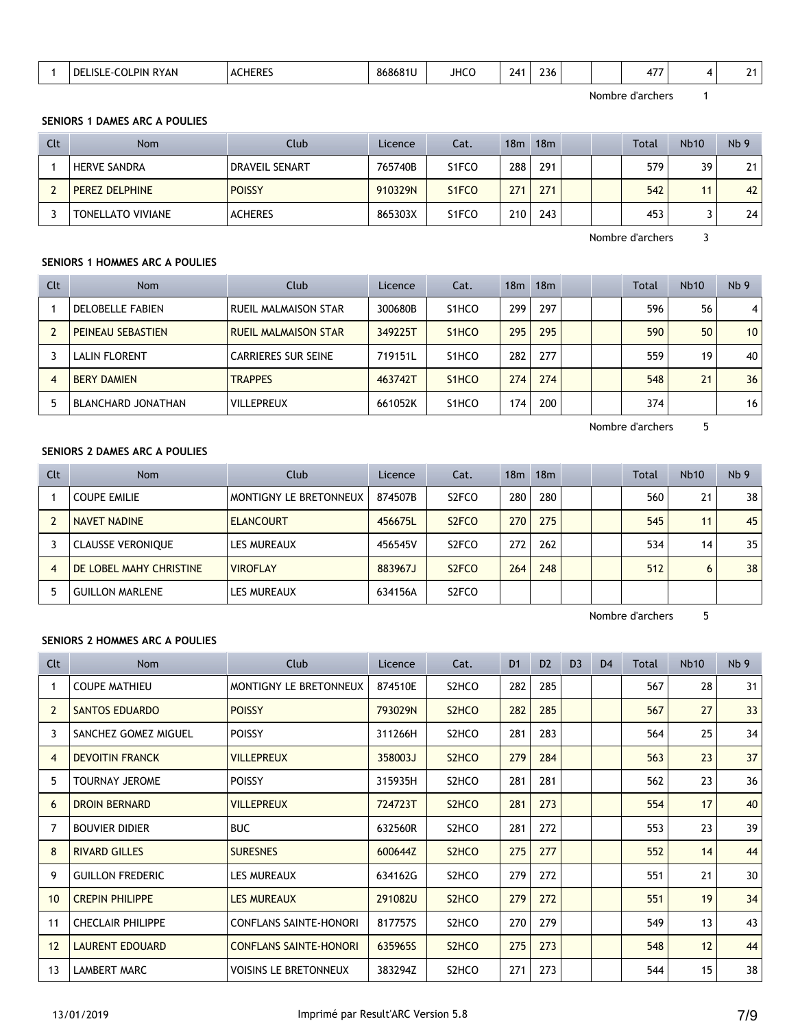| $\rightarrow -$<br>~~<br>$H^{\prime}$<br>DE<br>$L$ HERF $^{\prime}$<br>וור<br>868681⊾<br>$\angle 36$<br><b>AN .YAN</b><br>$\mathbf{u}$<br>$\mathbf{A}$<br>71<br>JUCO<br>в.<br>, ד<br>-<br>--<br>$\sim$<br>. |
|-------------------------------------------------------------------------------------------------------------------------------------------------------------------------------------------------------------|
|-------------------------------------------------------------------------------------------------------------------------------------------------------------------------------------------------------------|

#### **SENIORS 1 DAMES ARC A POULIES**

| Clt | <b>Nom</b>          | Club           | Licence | Cat.               | 18 <sub>m</sub> | 18 <sub>m</sub> |  | Total | <b>Nb10</b> | Nb <sub>9</sub> |
|-----|---------------------|----------------|---------|--------------------|-----------------|-----------------|--|-------|-------------|-----------------|
|     | <b>HERVE SANDRA</b> | DRAVEIL SENART | 765740B | S1FCO              | 288             | 291             |  | 579   | 39          | 21              |
|     | PEREZ DELPHINE      | <b>POISSY</b>  | 910329N | S <sub>1</sub> FCO | 271             | 271             |  | 542   |             | 42              |
|     | TONELLATO VIVIANE   | <b>ACHERES</b> | 865303X | S1FCO              | 210             | 243             |  | 453   |             | 24 <sup>1</sup> |

Nombre d'archers 3

#### **SENIORS 1 HOMMES ARC A POULIES**

| Clt            | <b>Nom</b>                | Club                        | Licence | Cat.                           | 18 <sub>m</sub> | 18m |  | <b>Total</b> | Nb10 | Nb <sub>9</sub> |
|----------------|---------------------------|-----------------------------|---------|--------------------------------|-----------------|-----|--|--------------|------|-----------------|
|                | <b>DELOBELLE FABIEN</b>   | <b>RUEIL MALMAISON STAR</b> | 300680B | S <sub>1</sub> HCO             | 299             | 297 |  | 596          | 56   | 4               |
|                | <b>PEINEAU SEBASTIEN</b>  | <b>RUEIL MALMAISON STAR</b> | 349225T | S <sub>1</sub> HCO             | 295             | 295 |  | 590          | 50   | 10              |
|                | <b>LALIN FLORENT</b>      | <b>CARRIERES SUR SEINE</b>  | 719151L | S <sub>1</sub> HCO             | 282             | 277 |  | 559          | 19   | 40              |
| $\overline{4}$ | <b>BERY DAMIEN</b>        | <b>TRAPPES</b>              | 463742T | S <sub>1</sub> H <sub>CO</sub> | 274             | 274 |  | 548          | 21   | 36              |
| 5              | <b>BLANCHARD JONATHAN</b> | <b>VILLEPREUX</b>           | 661052K | S <sub>1</sub> HCO             | 174             | 200 |  | 374          |      | 16              |

Nombre d'archers 5

#### **SENIORS 2 DAMES ARC A POULIES**

| Clt            | Nom                      | Club                   | Licence | Cat.               | 18 <sub>m</sub> | 18m |  | <b>Total</b> | <b>Nb10</b> | Nb <sub>9</sub> |
|----------------|--------------------------|------------------------|---------|--------------------|-----------------|-----|--|--------------|-------------|-----------------|
|                | <b>COUPE EMILIE</b>      | MONTIGNY LE BRETONNEUX | 874507B | S <sub>2</sub> FCO | 280             | 280 |  | 560          | 21          | 38              |
|                | <b>NAVET NADINE</b>      | <b>ELANCOURT</b>       | 456675L | S <sub>2</sub> FCO | 270             | 275 |  | 545          | 11          | 45              |
|                | <b>CLAUSSE VERONIQUE</b> | LES MUREAUX            | 456545V | S <sub>2</sub> FCO | 272             | 262 |  | 534          | 14          | 35              |
| $\overline{4}$ | DE LOBEL MAHY CHRISTINE  | <b>VIROFLAY</b>        | 883967J | S <sub>2</sub> FCO | 264             | 248 |  | 512          | 6           | 38              |
|                | <b>GUILLON MARLENE</b>   | LES MUREAUX            | 634156A | S <sub>2</sub> FCO |                 |     |  |              |             |                 |

Nombre d'archers 5

#### **SENIORS 2 HOMMES ARC A POULIES**

| Clt            | Nom                      | Club                          | Licence | Cat.                           | D <sub>1</sub> | D <sub>2</sub> | D <sub>3</sub> | D <sub>4</sub> | Total | <b>Nb10</b> | Nb <sub>9</sub> |
|----------------|--------------------------|-------------------------------|---------|--------------------------------|----------------|----------------|----------------|----------------|-------|-------------|-----------------|
|                | <b>COUPE MATHIEU</b>     | MONTIGNY LE BRETONNEUX        | 874510E | S <sub>2</sub> HCO             | 282            | 285            |                |                | 567   | 28          | 31              |
| $\overline{2}$ | <b>SANTOS EDUARDO</b>    | <b>POISSY</b>                 | 793029N | S <sub>2</sub> HC <sub>O</sub> | 282            | 285            |                |                | 567   | 27          | 33              |
| 3              | SANCHEZ GOMEZ MIGUEL     | <b>POISSY</b>                 | 311266H | S2HCO                          | 281            | 283            |                |                | 564   | 25          | 34              |
| 4              | <b>DEVOITIN FRANCK</b>   | <b>VILLEPREUX</b>             | 358003J | S <sub>2</sub> H <sub>CO</sub> | 279            | 284            |                |                | 563   | 23          | 37              |
| 5              | <b>TOURNAY JEROME</b>    | <b>POISSY</b>                 | 315935H | S2HCO                          | 281            | 281            |                |                | 562   | 23          | 36              |
| 6              | <b>DROIN BERNARD</b>     | <b>VILLEPREUX</b>             | 724723T | S <sub>2</sub> H <sub>CO</sub> | 281            | 273            |                |                | 554   | 17          | 40              |
| 7              | <b>BOUVIER DIDIER</b>    | <b>BUC</b>                    | 632560R | S2HCO                          | 281            | 272            |                |                | 553   | 23          | 39              |
| 8              | <b>RIVARD GILLES</b>     | <b>SURESNES</b>               | 600644Z | S <sub>2</sub> HC <sub>O</sub> | 275            | 277            |                |                | 552   | 14          | 44              |
| 9              | <b>GUILLON FREDERIC</b>  | LES MUREAUX                   | 634162G | S2HCO                          | 279            | 272            |                |                | 551   | 21          | 30              |
| 10             | <b>CREPIN PHILIPPE</b>   | <b>LES MUREAUX</b>            | 291082U | S <sub>2</sub> H <sub>CO</sub> | 279            | 272            |                |                | 551   | 19          | 34              |
| 11             | <b>CHECLAIR PHILIPPE</b> | <b>CONFLANS SAINTE-HONORI</b> | 817757S | S <sub>2</sub> HCO             | 270            | 279            |                |                | 549   | 13          | 43              |
| 12             | <b>LAURENT EDOUARD</b>   | <b>CONFLANS SAINTE-HONORI</b> | 635965S | S <sub>2</sub> H <sub>CO</sub> | 275            | 273            |                |                | 548   | 12          | 44              |
| 13             | <b>LAMBERT MARC</b>      | VOISINS LE BRETONNEUX         | 383294Z | S <sub>2</sub> HCO             | 271            | 273            |                |                | 544   | 15          | 38              |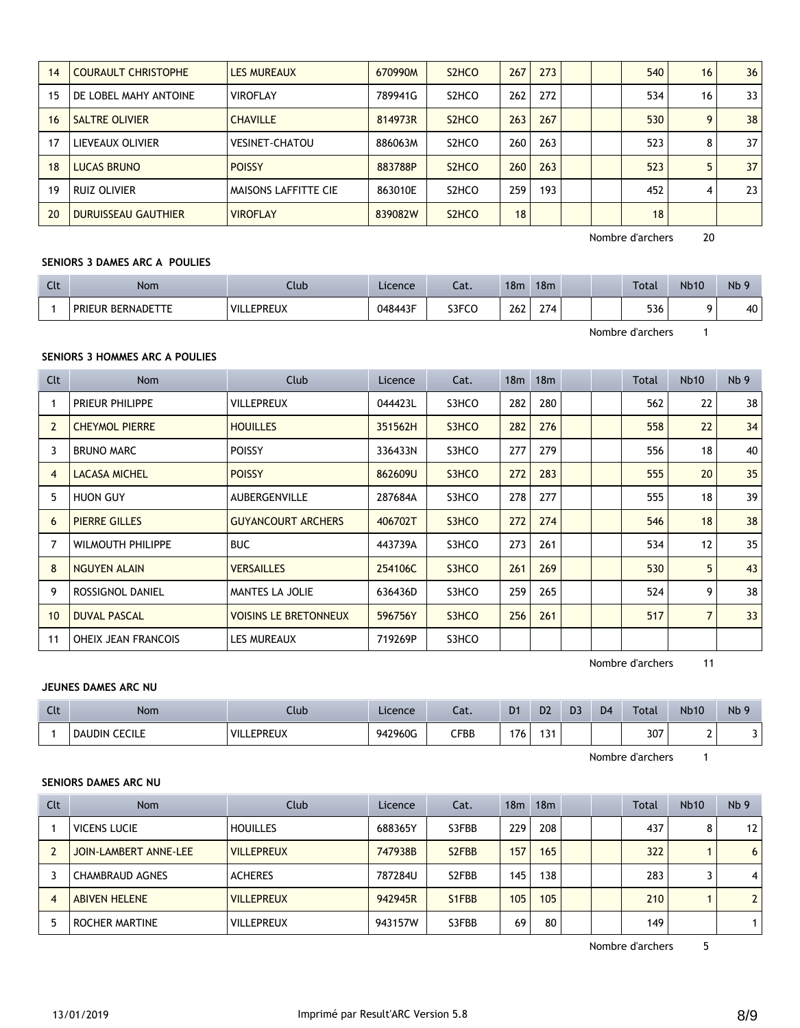| 14 | <b>COURAULT CHRISTOPHE</b> | <b>LES MUREAUX</b>    | 670990M | S <sub>2</sub> H <sub>CO</sub> | 267 | 273 |  | 540 | 16 | 36 |
|----|----------------------------|-----------------------|---------|--------------------------------|-----|-----|--|-----|----|----|
| 15 | DE LOBEL MAHY ANTOINE      | <b>VIROFLAY</b>       | 789941G | S2HCO                          | 262 | 272 |  | 534 | 16 | 33 |
| 16 | <b>SALTRE OLIVIER</b>      | <b>CHAVILLE</b>       | 814973R | S <sub>2</sub> H <sub>CO</sub> | 263 | 267 |  | 530 |    | 38 |
| 17 | LIEVEAUX OLIVIER           | <b>VESINET-CHATOU</b> | 886063M | S <sub>2</sub> HCO             | 260 | 263 |  | 523 | 8  | 37 |
| 18 | <b>LUCAS BRUNO</b>         | <b>POISSY</b>         | 883788P | S <sub>2</sub> H <sub>CO</sub> | 260 | 263 |  | 523 |    | 37 |
| 19 | RUIZ OLIVIER               | MAISONS LAFFITTE CIE  | 863010E | S2HCO                          | 259 | 193 |  | 452 |    | 23 |
| 20 | <b>DURUISSEAU GAUTHIER</b> | <b>VIROFLAY</b>       | 839082W | S <sub>2</sub> H <sub>CO</sub> | 18  |     |  | 18  |    |    |

## **SENIORS 3 DAMES ARC A POULIES**

| $\sim$<br>นเ | <b>Nom</b>        | Llub              | Licence | $\sim$<br>cal. | 18 <sub>m</sub> | 18m                         |  | Total | <b>Nb10</b> | Nb <sub>9</sub> |
|--------------|-------------------|-------------------|---------|----------------|-----------------|-----------------------------|--|-------|-------------|-----------------|
|              | PRIEUR BERNADETTE | <b>VILLEPREUX</b> | 048443F | S3FCO          | 262             | $\sim$ $\rightarrow$<br>274 |  | 536   |             | ٠<br>40.        |

Nombre d'archers 1

## **SENIORS 3 HOMMES ARC A POULIES**

| Clt            | Nom                        | Club                         | Licence | Cat.  | 18m | 18 <sub>m</sub> |  | Total | <b>Nb10</b>    | Nb <sub>9</sub> |
|----------------|----------------------------|------------------------------|---------|-------|-----|-----------------|--|-------|----------------|-----------------|
|                | PRIEUR PHILIPPE            | VILLEPREUX                   | 044423L | S3HCO | 282 | 280             |  | 562   | 22             | 38              |
| $\overline{2}$ | <b>CHEYMOL PIERRE</b>      | <b>HOUILLES</b>              | 351562H | S3HCO | 282 | 276             |  | 558   | 22             | 34              |
| 3              | <b>BRUNO MARC</b>          | <b>POISSY</b>                | 336433N | S3HCO | 277 | 279             |  | 556   | 18             | 40              |
| $\overline{4}$ | <b>LACASA MICHEL</b>       | <b>POISSY</b>                | 862609U | S3HCO | 272 | 283             |  | 555   | 20             | 35              |
| 5              | <b>HUON GUY</b>            | <b>AUBERGENVILLE</b>         | 287684A | S3HCO | 278 | 277             |  | 555   | 18             | 39              |
| 6              | <b>PIERRE GILLES</b>       | <b>GUYANCOURT ARCHERS</b>    | 406702T | S3HCO | 272 | 274             |  | 546   | 18             | 38              |
| 7              | <b>WILMOUTH PHILIPPE</b>   | <b>BUC</b>                   | 443739A | S3HCO | 273 | 261             |  | 534   | 12             | 35              |
| 8              | <b>NGUYEN ALAIN</b>        | <b>VERSAILLES</b>            | 254106C | S3HCO | 261 | 269             |  | 530   | 5              | 43              |
| 9              | ROSSIGNOL DANIEL           | <b>MANTES LA JOLIE</b>       | 636436D | S3HCO | 259 | 265             |  | 524   | 9              | 38              |
| 10             | <b>DUVAL PASCAL</b>        | <b>VOISINS LE BRETONNEUX</b> | 596756Y | S3HCO | 256 | 261             |  | 517   | $\overline{7}$ | 33              |
| 11             | <b>OHEIX JEAN FRANCOIS</b> | <b>LES MUREAUX</b>           | 719269P | S3HCO |     |                 |  |       |                |                 |

Nombre d'archers 11

#### **JEUNES DAMES ARC NU**

| Clt | <b>Nom</b>           | Club                     | Licence | Cat.        | D <sub>1</sub> | D <sub>2</sub> | D <sub>3</sub> | D <sub>4</sub> | <b>Total</b> | <b>Nb10</b> | <b>N<sub>b</sub></b> |
|-----|----------------------|--------------------------|---------|-------------|----------------|----------------|----------------|----------------|--------------|-------------|----------------------|
|     | <b>DAUDIN CECILE</b> | <b>EPREUX</b><br>"VILLL. | 942960G | <b>CFBB</b> | 176            | 131            |                |                | 307          | -           |                      |

Nombre d'archers 1

#### **SENIORS DAMES ARC NU**

| Clt | <b>Nom</b>             | Club              | Licence | Cat.                            | 18m | 18m |  | <b>Total</b> | Nb10 | Nb <sub>9</sub> |
|-----|------------------------|-------------------|---------|---------------------------------|-----|-----|--|--------------|------|-----------------|
|     | <b>VICENS LUCIE</b>    | <b>HOUILLES</b>   | 688365Y | S3FBB                           | 229 | 208 |  | 437          | 8    | 12              |
|     | JOIN-LAMBERT ANNE-LEE  | <b>VILLEPREUX</b> | 747938B | S <sub>2</sub> F <sub>BB</sub>  | 157 | 165 |  | 322          |      | 6               |
|     | <b>CHAMBRAUD AGNES</b> | <b>ACHERES</b>    | 787284U | S <sub>2</sub> FBB              | 145 | 138 |  | 283          |      | 4               |
| 4   | <b>ABIVEN HELENE</b>   | <b>VILLEPREUX</b> | 942945R | S <sub>1</sub> F <sub>B</sub> B | 105 | 105 |  | 210          |      |                 |
|     | ROCHER MARTINE         | <b>VILLEPREUX</b> | 943157W | S3FBB                           | 69  | 80  |  | 149          |      |                 |

Nombre d'archers 5